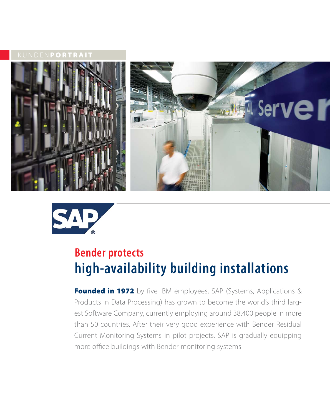**ORTRAIT** 





# **Bender protects high-availability building installations**

**Founded in 1972** by five IBM employees, SAP (Systems, Applications & Products in Data Processing) has grown to become the world's third largest Software Company, currently employing around 38.400 people in more than 50 countries. After their very good experience with Bender Residual Current Monitoring Systems in pilot projects, SAP is gradually equipping more office buildings with Bender monitoring systems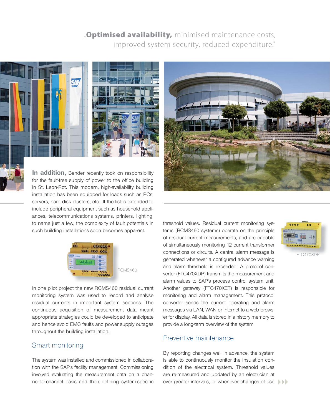## "**Optimised availability,** minimised maintenance costs, improved system security, reduced expenditure."



**In addition,** Bender recently took on responsibility for the fault-free supply of power to the office building in St. Leon-Rot. This modern, high-availability building installation has been equipped for loads such as PCs, servers, hard disk clusters, etc.. If the list is extended to include peripheral equipment such as household appliances, telecommunications systems, printers, lighting, to name just a few, the complexity of fault potentials in such building installations soon becomes apparent.



RCMS460

In one pilot project the new RCMS460 residual current monitoring system was used to record and analyse residual currents in important system sections. The continuous acquisition of measurement data meant appropriate strategies could be developed to anticipate and hence avoid EMC faults and power supply outages throughout the building installation.

### Smart monitoring

The system was installed and commissioned in collaboration with the SAP's facility management. Commissioning involved evaluating the measurement data on a channel-for-channel basis and then defining system-specific



threshold values. Residual current monitoring systems (RCMS460 systems) operate on the principle of residual current measurements, and are capable of simultaneously monitoring 12 current transformer connections or circuits. A central alarm message is generated whenever a configured advance warning and alarm threshold is exceeded. A protocol converter (FTC470XDP) transmits the measurement and alarm values to SAP's process control system unit. Another gateway (FTC470XET) is responsible for monitoring and alarm management. This protocol converter sends the current operating and alarm messages via LAN, WAN or Internet to a web browser for display. All data is stored in a history memory to provide a long-term overview of the system.

#### Preventive maintenance

By reporting changes well in advance, the system is able to continuously monitor the insulation condition of the electrical system. Threshold values are re-measured and updated by an electrician at ever greater intervals, or whenever changes of use



FTC470XDP